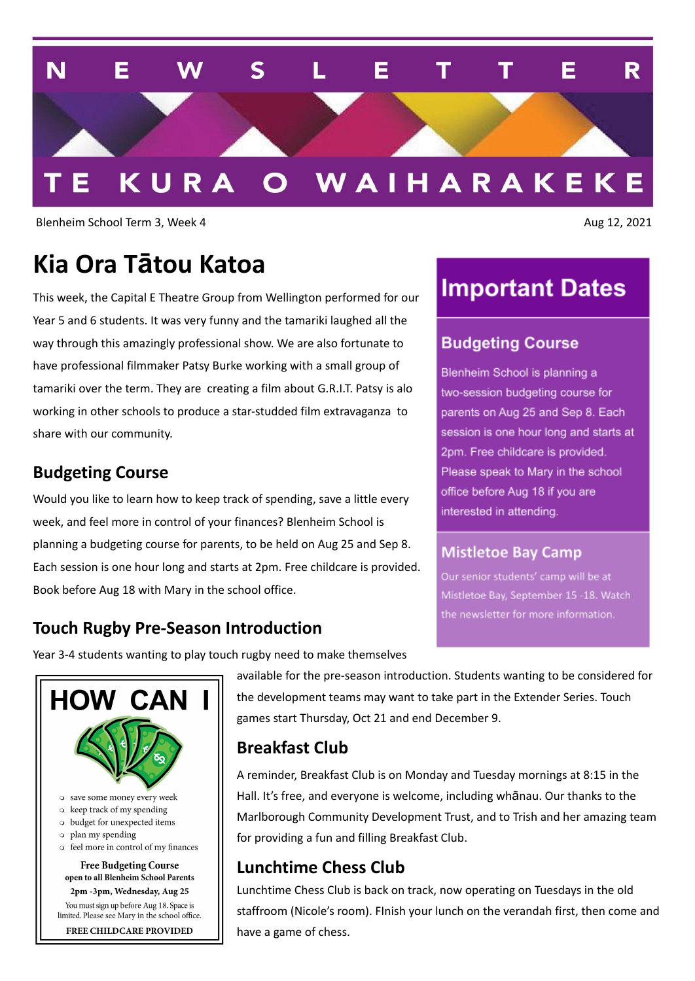

Blenheim School Term 3, Week 4 Aug 12, 2021

### **Kia Ora Tātou Katoa**

This week, the Capital E Theatre Group from Wellington performed for our Year 5 and 6 students. It was very funny and the tamariki laughed all the way through this amazingly professional show. We are also fortunate to have professional filmmaker Patsy Burke working with a small group of tamariki over the term. They are creating a film about G.R.I.T. Patsy is alo working in other schools to produce a star-studded film extravaganza to share with our community.

#### **Budgeting Course**

Would you like to learn how to keep track of spending, save a little every week, and feel more in control of your finances? Blenheim School is planning a budgeting course for parents, to be held on Aug 25 and Sep 8. Each session is one hour long and starts at 2pm. Free childcare is provided. Book before Aug 18 with Mary in the school office.

### **Important Dates**

#### **Budgeting Course**

Blenheim School is planning a two-session budgeting course for parents on Aug 25 and Sep 8. Each session is one hour long and starts at 2pm. Free childcare is provided. Please speak to Mary in the school office before Aug 18 if you are interested in attending.

#### **Mistletoe Bay Camp**

Our senior students' camp will be at Mistletoe Bay, September 15 -18. Watch the newsletter for more information.

#### **Touch Rugby Pre-Season Introduction**

Year 3-4 students wanting to play touch rugby need to make themselves



- o budget for unexpected items
- o plan my spending
- o feel more in control of my finances

**Free Budgeting Course** open to all Blenheim School Parents 2pm -3pm, Wednesday, Aug 25

You must sign up before Aug 18. Space is limited. Please see Mary in the school office.

FREE CHILDCARE PROVIDED

available for the pre-season introduction. Students wanting to be considered for the development teams may want to take part in the Extender Series. Touch games start Thursday, Oct 21 and end December 9.

#### **Breakfast Club**

A reminder, Breakfast Club is on Monday and Tuesday mornings at 8:15 in the Hall. It's free, and everyone is welcome, including whānau. Our thanks to the Marlborough Community Development Trust, and to Trish and her amazing team for providing a fun and filling Breakfast Club.

#### **Lunchtime Chess Club**

Lunchtime Chess Club is back on track, now operating on Tuesdays in the old staffroom (Nicole's room). FInish your lunch on the verandah first, then come and have a game of chess.